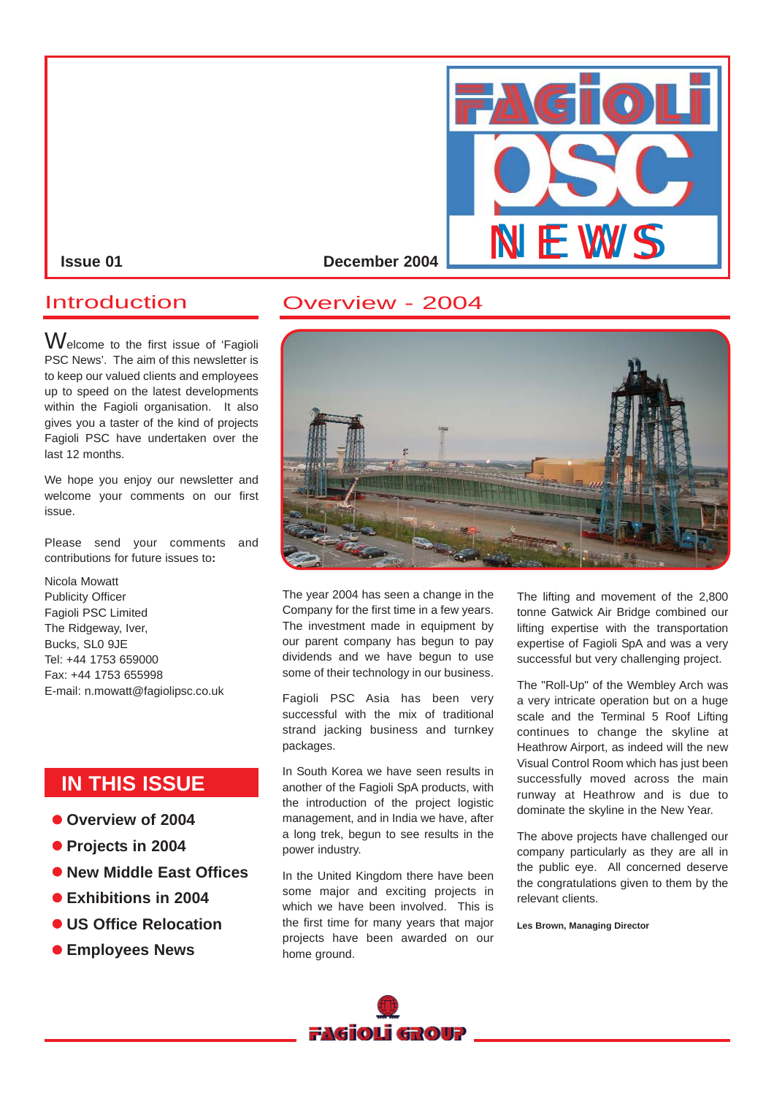

## Introduction

Welcome to the first issue of 'Fagioli PSC News'. The aim of this newsletter is to keep our valued clients and employees up to speed on the latest developments within the Fagioli organisation. It also gives you a taster of the kind of projects Fagioli PSC have undertaken over the last 12 months.

We hope you enjoy our newsletter and welcome your comments on our first issue.

Please send your comments and contributions for future issues to**:**

Nicola Mowatt Publicity Officer Fagioli PSC Limited The Ridgeway, Iver, Bucks, SL0 9JE Tel: +44 1753 659000 Fax: +44 1753 655998 E-mail: n.mowatt@fagiolipsc.co.uk

# **IN THIS ISSUE**

- $\bullet$  **Overview of 2004**
- **Projects in 2004**
- $\bullet$  **New Middle East Offices**
- $\bullet$  **Exhibitions in 2004**
- $\bullet$  **US Office Relocation**
- $\bullet$  **Employees News**





The year 2004 has seen a change in the Company for the first time in a few years. The investment made in equipment by our parent company has begun to pay dividends and we have begun to use some of their technology in our business.

Fagioli PSC Asia has been very successful with the mix of traditional strand jacking business and turnkey packages.

In South Korea we have seen results in another of the Fagioli SpA products, with the introduction of the project logistic management, and in India we have, after a long trek, begun to see results in the power industry.

In the United Kingdom there have been some major and exciting projects in which we have been involved. This is the first time for many years that major projects have been awarded on our home ground.

The lifting and movement of the 2,800 tonne Gatwick Air Bridge combined our lifting expertise with the transportation expertise of Fagioli SpA and was a very successful but very challenging project.

The "Roll-Up" of the Wembley Arch was a very intricate operation but on a huge scale and the Terminal 5 Roof Lifting continues to change the skyline at Heathrow Airport, as indeed will the new Visual Control Room which has just been successfully moved across the main runway at Heathrow and is due to dominate the skyline in the New Year.

The above projects have challenged our company particularly as they are all in the public eye. All concerned deserve the congratulations given to them by the relevant clients.

**Les Brown, Managing Director**

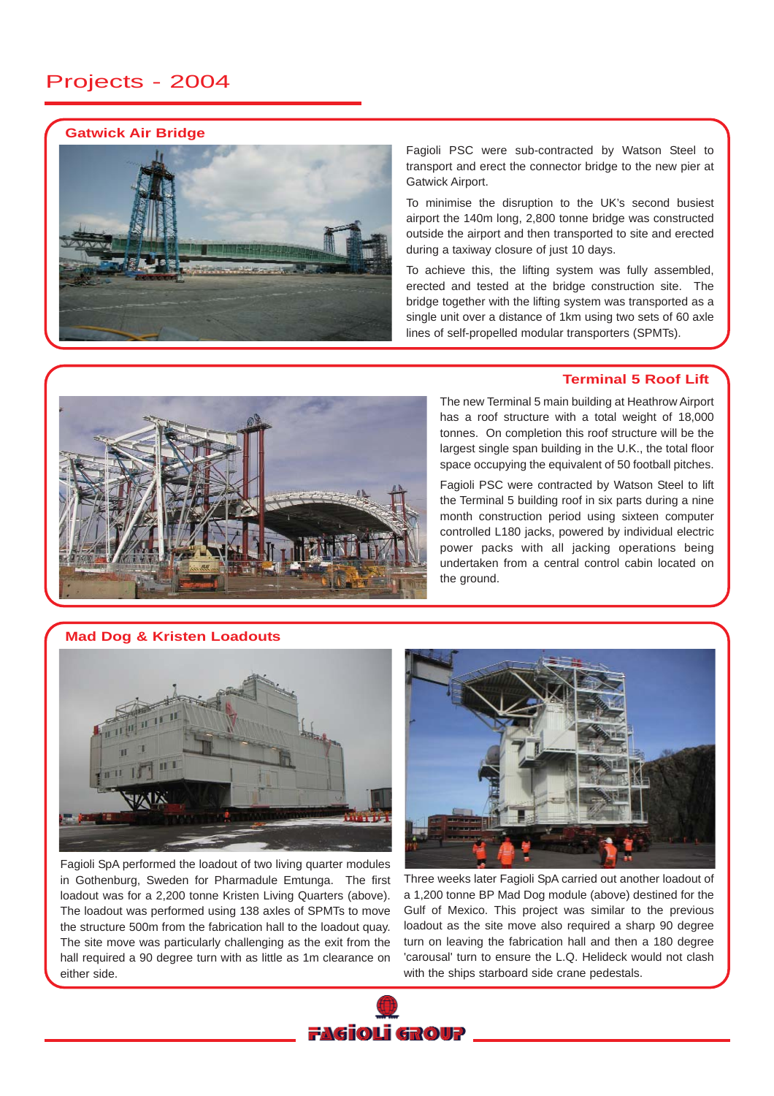# Projects - 2004

### **Gatwick Air Bridge**



Fagioli PSC were sub-contracted by Watson Steel to transport and erect the connector bridge to the new pier at Gatwick Airport.

To minimise the disruption to the UK's second busiest airport the 140m long, 2,800 tonne bridge was constructed outside the airport and then transported to site and erected during a taxiway closure of just 10 days.

To achieve this, the lifting system was fully assembled, erected and tested at the bridge construction site. The bridge together with the lifting system was transported as a single unit over a distance of 1km using two sets of 60 axle lines of self-propelled modular transporters (SPMTs).

## **Terminal 5 Roof Lift**

The new Terminal 5 main building at Heathrow Airport has a roof structure with a total weight of 18,000 tonnes. On completion this roof structure will be the largest single span building in the U.K., the total floor space occupying the equivalent of 50 football pitches.

Fagioli PSC were contracted by Watson Steel to lift the Terminal 5 building roof in six parts during a nine month construction period using sixteen computer controlled L180 jacks, powered by individual electric power packs with all jacking operations being undertaken from a central control cabin located on the ground.

**Mad Dog & Kristen Loadouts**



Fagioli SpA performed the loadout of two living quarter modules in Gothenburg, Sweden for Pharmadule Emtunga. The first loadout was for a 2,200 tonne Kristen Living Quarters (above). The loadout was performed using 138 axles of SPMTs to move the structure 500m from the fabrication hall to the loadout quay. The site move was particularly challenging as the exit from the hall required a 90 degree turn with as little as 1m clearance on either side.



Three weeks later Fagioli SpA carried out another loadout of a 1,200 tonne BP Mad Dog module (above) destined for the Gulf of Mexico. This project was similar to the previous loadout as the site move also required a sharp 90 degree turn on leaving the fabrication hall and then a 180 degree 'carousal' turn to ensure the L.Q. Helideck would not clash with the ships starboard side crane pedestals.

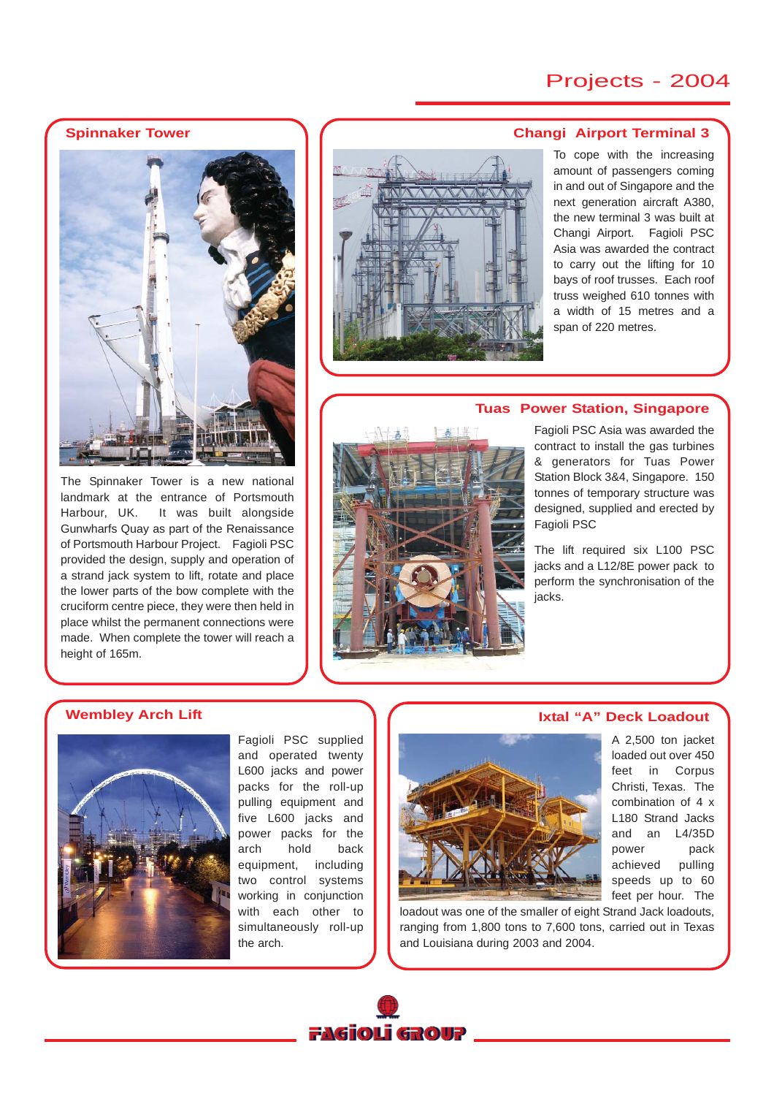# Projects - 2004

**Spinnaker Tower**



The Spinnaker Tower is a new national landmark at the entrance of Portsmouth Harbour, UK. It was built alongside Gunwharfs Quay as part of the Renaissance of Portsmouth Harbour Project. Fagioli PSC provided the design, supply and operation of a strand jack system to lift, rotate and place the lower parts of the bow complete with the cruciform centre piece, they were then held in place whilst the permanent connections were made. When complete the tower will reach a height of 165m.



#### **Changi Airport Terminal 3**

To cope with the increasing amount of passengers coming in and out of Singapore and the next generation aircraft A380, the new terminal 3 was built at Changi Airport. Fagioli PSC Asia was awarded the contract to carry out the lifting for 10 bays of roof trusses. Each roof truss weighed 610 tonnes with a width of 15 metres and a span of 220 metres.

## **Tuas Power Station, Singapore**



Fagioli PSC Asia was awarded the contract to install the gas turbines & generators for Tuas Power Station Block 3&4, Singapore. 150 tonnes of temporary structure was designed, supplied and erected by Fagioli PSC

The lift required six L100 PSC jacks and a L12/8E power pack to perform the synchronisation of the jacks.

## **Wembley Arch Lift**



Fagioli PSC supplied and operated twenty L600 jacks and power packs for the roll-up pulling equipment and five L600 jacks and power packs for the arch hold back equipment, including two control systems working in conjunction with each other to simultaneously roll-up the arch.

loadout was one of the smaller of eight Strand Jack loadouts, ranging from 1,800 tons to 7,600 tons, carried out in Texas and Louisiana during 2003 and 2004.



## **Ixtal "A" Deck Loadout**

A 2,500 ton jacket loaded out over 450 feet in Corpus Christi, Texas. The combination of 4 x L180 Strand Jacks and an L4/35D power pack achieved pulling speeds up to 60 feet per hour. The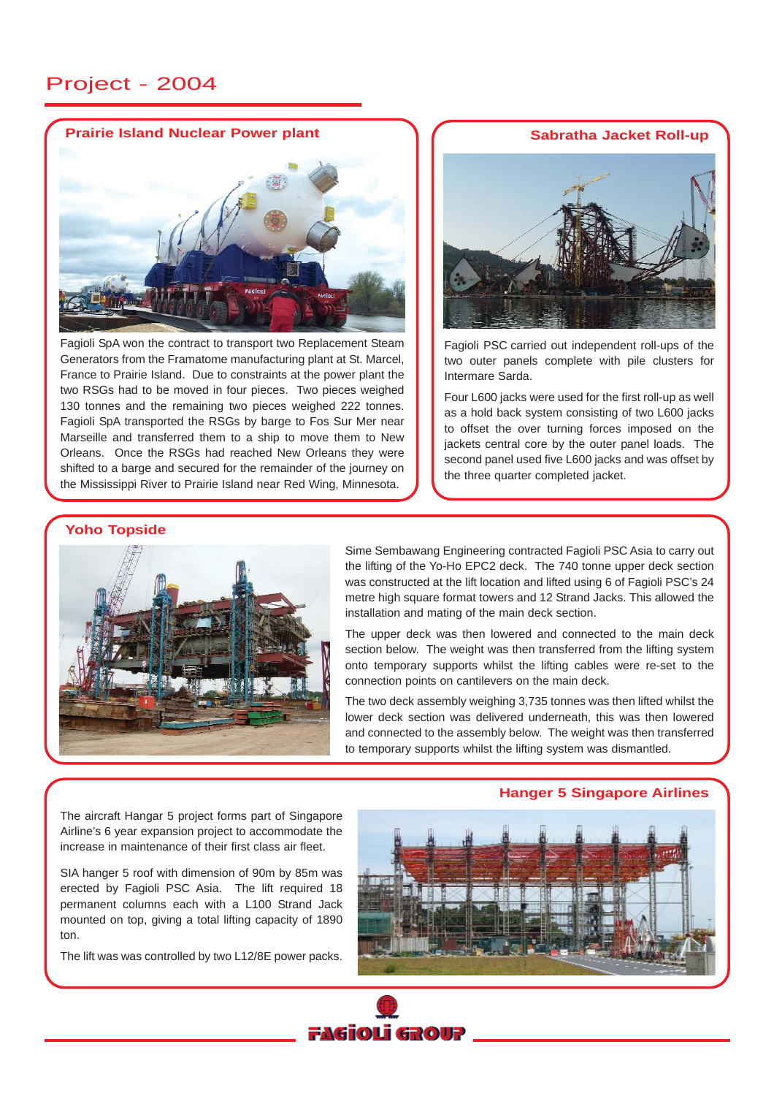## Project - 2004

## **Prairie Island Nuclear Power plant Sabratha Jacket Roll-up**



Fagioli SpA won the contract to transport two Replacement Steam Generators from the Framatome manufacturing plant at St. Marcel, France to Prairie Island. Due to constraints at the power plant the two RSGs had to be moved in four pieces. Two pieces weighed 130 tonnes and the remaining two pieces weighed 222 tonnes. Fagioli SpA transported the RSGs by barge to Fos Sur Mer near Marseille and transferred them to a ship to move them to New Orleans. Once the RSGs had reached New Orleans they were shifted to a barge and secured for the remainder of the journey on the Mississippi River to Prairie Island near Red Wing, Minnesota.



Fagioli PSC carried out independent roll-ups of the two outer panels complete with pile clusters for Intermare Sarda.

Four L600 jacks were used for the first roll-up as well as a hold back system consisting of two L600 jacks to offset the over turning forces imposed on the jackets central core by the outer panel loads. The second panel used five L600 jacks and was offset by the three quarter completed jacket.

#### **Yoho Topside**



Sime Sembawang Engineering contracted Fagioli PSC Asia to carry out the lifting of the Yo-Ho EPC2 deck. The 740 tonne upper deck section was constructed at the lift location and lifted using 6 of Fagioli PSC's 24 metre high square format towers and 12 Strand Jacks. This allowed the installation and mating of the main deck section.

The upper deck was then lowered and connected to the main deck section below. The weight was then transferred from the lifting system onto temporary supports whilst the lifting cables were re-set to the connection points on cantilevers on the main deck.

The two deck assembly weighing 3,735 tonnes was then lifted whilst the lower deck section was delivered underneath, this was then lowered and connected to the assembly below. The weight was then transferred to temporary supports whilst the lifting system was dismantled.

**Hanger 5 Singapore Airlines**

The aircraft Hangar 5 project forms part of Singapore Airline's 6 year expansion project to accommodate the increase in maintenance of their first class air fleet.

SIA hanger 5 roof with dimension of 90m by 85m was erected by Fagioli PSC Asia. The lift required 18 permanent columns each with a L100 Strand Jack mounted on top, giving a total lifting capacity of 1890 ton.

The lift was was controlled by two L12/8E power packs.



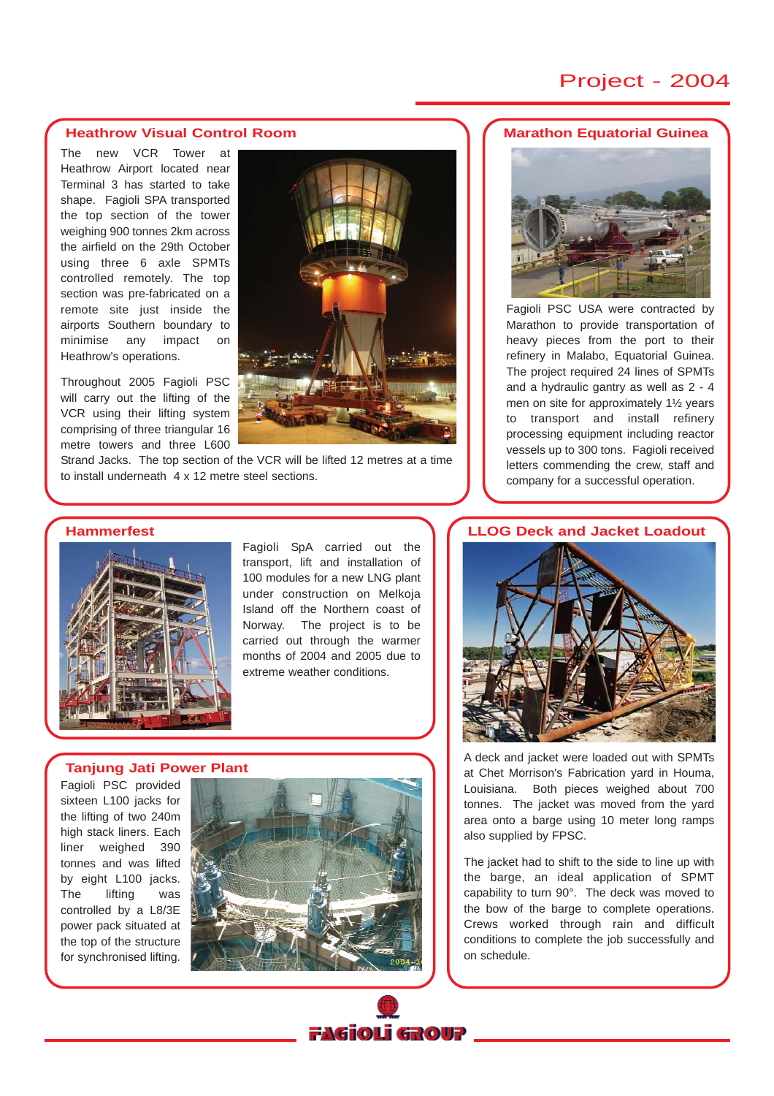# Project - 2004

#### **Heathrow Visual Control Room**

The new VCR Tower at Heathrow Airport located near Terminal 3 has started to take shape. Fagioli SPA transported the top section of the tower weighing 900 tonnes 2km across the airfield on the 29th October using three 6 axle SPMTs controlled remotely. The top section was pre-fabricated on a remote site just inside the airports Southern boundary to minimise any impact on Heathrow's operations.

Throughout 2005 Fagioli PSC will carry out the lifting of the VCR using their lifting system comprising of three triangular 16 metre towers and three L600



Strand Jacks. The top section of the VCR will be lifted 12 metres at a time to install underneath 4 x 12 metre steel sections.

### **Hammerfest**



Fagioli SpA carried out the transport, lift and installation of 100 modules for a new LNG plant under construction on Melkoja Island off the Northern coast of Norway. The project is to be carried out through the warmer months of 2004 and 2005 due to extreme weather conditions.

#### **Tanjung Jati Power Plant**

Fagioli PSC provided sixteen L100 jacks for the lifting of two 240m high stack liners. Each liner weighed 390 tonnes and was lifted by eight L100 jacks. The lifting was controlled by a L8/3E power pack situated at the top of the structure for synchronised lifting.



## **Marathon Equatorial Guinea**



Fagioli PSC USA were contracted by Marathon to provide transportation of heavy pieces from the port to their refinery in Malabo, Equatorial Guinea. The project required 24 lines of SPMTs and a hydraulic gantry as well as 2 - 4 men on site for approximately 1½ years to transport and install refinery processing equipment including reactor vessels up to 300 tons. Fagioli received letters commending the crew, staff and company for a successful operation.

#### **LLOG Deck and Jacket Loadout**



A deck and jacket were loaded out with SPMTs at Chet Morrison's Fabrication yard in Houma, Louisiana. Both pieces weighed about 700 tonnes. The jacket was moved from the yard area onto a barge using 10 meter long ramps also supplied by FPSC.

The jacket had to shift to the side to line up with the barge, an ideal application of SPMT capability to turn 90°. The deck was moved to the bow of the barge to complete operations. Crews worked through rain and difficult conditions to complete the job successfully and on schedule.

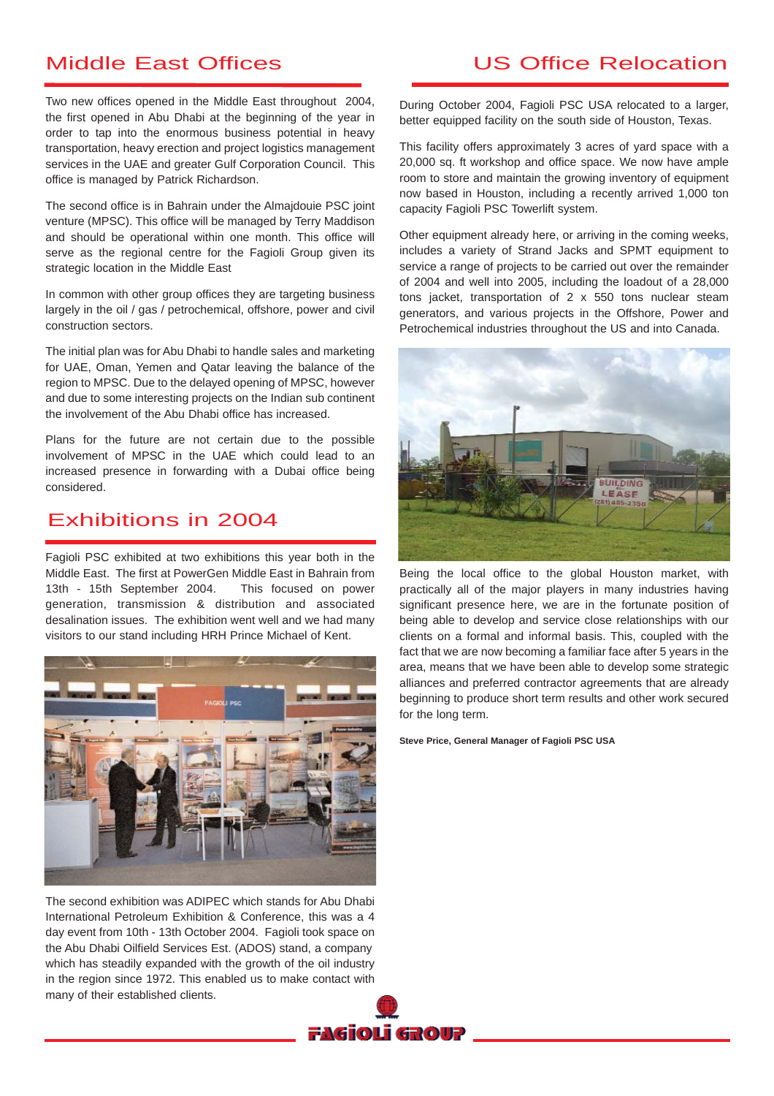# Middle East Offices

Two new offices opened in the Middle East throughout 2004, the first opened in Abu Dhabi at the beginning of the year in order to tap into the enormous business potential in heavy transportation, heavy erection and project logistics management services in the UAE and greater Gulf Corporation Council. This office is managed by Patrick Richardson.

The second office is in Bahrain under the Almajdouie PSC joint venture (MPSC). This office will be managed by Terry Maddison and should be operational within one month. This office will serve as the regional centre for the Fagioli Group given its strategic location in the Middle East

In common with other group offices they are targeting business largely in the oil / gas / petrochemical, offshore, power and civil construction sectors.

The initial plan was for Abu Dhabi to handle sales and marketing for UAE, Oman, Yemen and Qatar leaving the balance of the region to MPSC. Due to the delayed opening of MPSC, however and due to some interesting projects on the Indian sub continent the involvement of the Abu Dhabi office has increased.

Plans for the future are not certain due to the possible involvement of MPSC in the UAE which could lead to an increased presence in forwarding with a Dubai office being considered.

## Exhibitions in 2004

Fagioli PSC exhibited at two exhibitions this year both in the Middle East. The first at PowerGen Middle East in Bahrain from 13th - 15th September 2004. This focused on power generation, transmission & distribution and associated desalination issues. The exhibition went well and we had many visitors to our stand including HRH Prince Michael of Kent.



The second exhibition was ADIPEC which stands for Abu Dhabi International Petroleum Exhibition & Conference, this was a 4 day event from 10th - 13th October 2004. Fagioli took space on the Abu Dhabi Oilfield Services Est. (ADOS) stand, a company which has steadily expanded with the growth of the oil industry in the region since 1972. This enabled us to make contact with many of their established clients.

# US Office Relocation

During October 2004, Fagioli PSC USA relocated to a larger, better equipped facility on the south side of Houston, Texas.

This facility offers approximately 3 acres of yard space with a 20,000 sq. ft workshop and office space. We now have ample room to store and maintain the growing inventory of equipment now based in Houston, including a recently arrived 1,000 ton capacity Fagioli PSC Towerlift system.

Other equipment already here, or arriving in the coming weeks, includes a variety of Strand Jacks and SPMT equipment to service a range of projects to be carried out over the remainder of 2004 and well into 2005, including the loadout of a 28,000 tons jacket, transportation of 2 x 550 tons nuclear steam generators, and various projects in the Offshore, Power and Petrochemical industries throughout the US and into Canada.



Being the local office to the global Houston market, with practically all of the major players in many industries having significant presence here, we are in the fortunate position of being able to develop and service close relationships with our clients on a formal and informal basis. This, coupled with the fact that we are now becoming a familiar face after 5 years in the area, means that we have been able to develop some strategic alliances and preferred contractor agreements that are already beginning to produce short term results and other work secured for the long term.

**Steve Price, General Manager of Fagioli PSC USA**

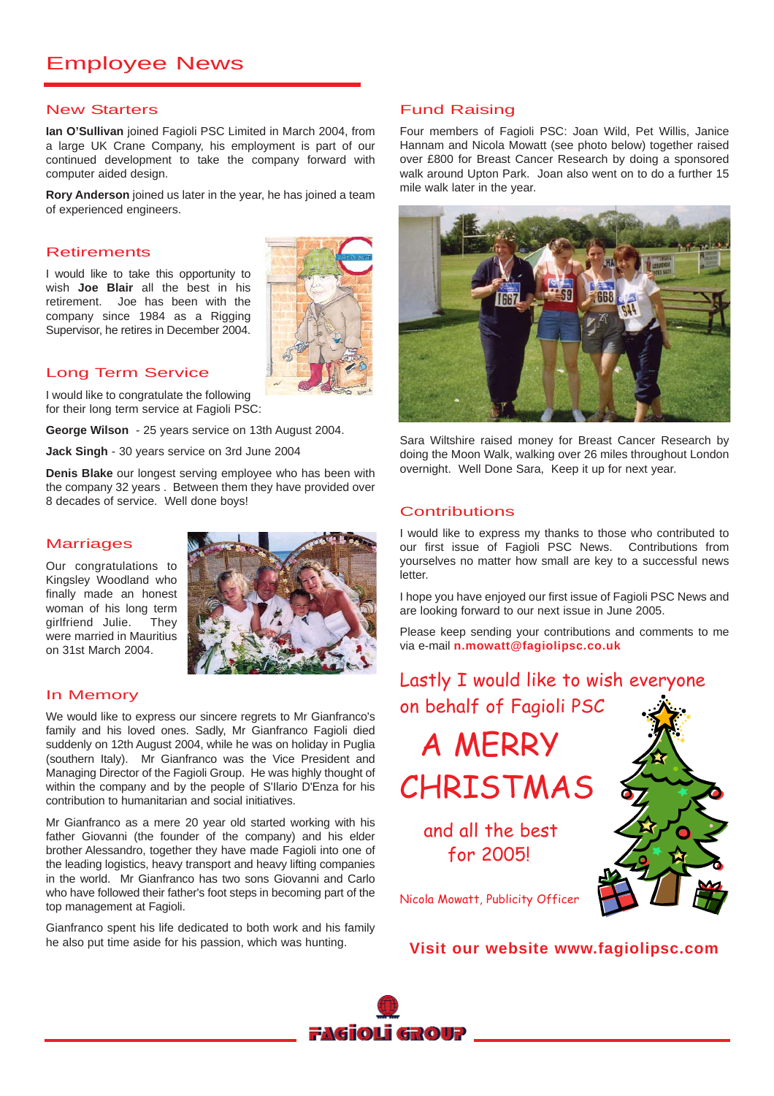# Employee News

#### New Starters

**Ian O'Sullivan** joined Fagioli PSC Limited in March 2004, from a large UK Crane Company, his employment is part of our continued development to take the company forward with computer aided design.

**Rory Anderson** joined us later in the year, he has joined a team of experienced engineers.

### **Retirements**

I would like to take this opportunity to wish **Joe Blair** all the best in his retirement. Joe has been with the company since 1984 as a Rigging Supervisor, he retires in December 2004.



## Long Term Service

I would like to congratulate the following for their long term service at Fagioli PSC:

**George Wilson** - 25 years service on 13th August 2004.

**Jack Singh** - 30 years service on 3rd June 2004

**Denis Blake** our longest serving employee who has been with the company 32 years . Between them they have provided over 8 decades of service. Well done boys!

### **Marriages**

Our congratulations to Kingsley Woodland who finally made an honest woman of his long term girlfriend Julie. They were married in Mauritius on 31st March 2004.



## In Memory

We would like to express our sincere regrets to Mr Gianfranco's family and his loved ones. Sadly, Mr Gianfranco Fagioli died suddenly on 12th August 2004, while he was on holiday in Puglia (southern Italy). Mr Gianfranco was the Vice President and Managing Director of the Fagioli Group. He was highly thought of within the company and by the people of S'Ilario D'Enza for his contribution to humanitarian and social initiatives.

Mr Gianfranco as a mere 20 year old started working with his father Giovanni (the founder of the company) and his elder brother Alessandro, together they have made Fagioli into one of the leading logistics, heavy transport and heavy lifting companies in the world. Mr Gianfranco has two sons Giovanni and Carlo who have followed their father's foot steps in becoming part of the top management at Fagioli.

Gianfranco spent his life dedicated to both work and his family he also put time aside for his passion, which was hunting.

## Fund Raising

Four members of Fagioli PSC: Joan Wild, Pet Willis, Janice Hannam and Nicola Mowatt (see photo below) together raised over £800 for Breast Cancer Research by doing a sponsored walk around Upton Park. Joan also went on to do a further 15 mile walk later in the year.



Sara Wiltshire raised money for Breast Cancer Research by doing the Moon Walk, walking over 26 miles throughout London overnight. Well Done Sara, Keep it up for next year.

### **Contributions**

I would like to express my thanks to those who contributed to our first issue of Fagioli PSC News. Contributions from yourselves no matter how small are key to a successful news letter.

I hope you have enjoyed our first issue of Fagioli PSC News and are looking forward to our next issue in June 2005.

Please keep sending your contributions and comments to me via e-mail **n.mowatt@fagiolipsc.co.uk**

Lastly I would like to wish everyone on behalf of Fagioli PSC A MERRY CHRISTMAS and all the best for 2005! Nicola Mowatt, Publicity Officer

**Visit our website www.fagiolipsc.com**